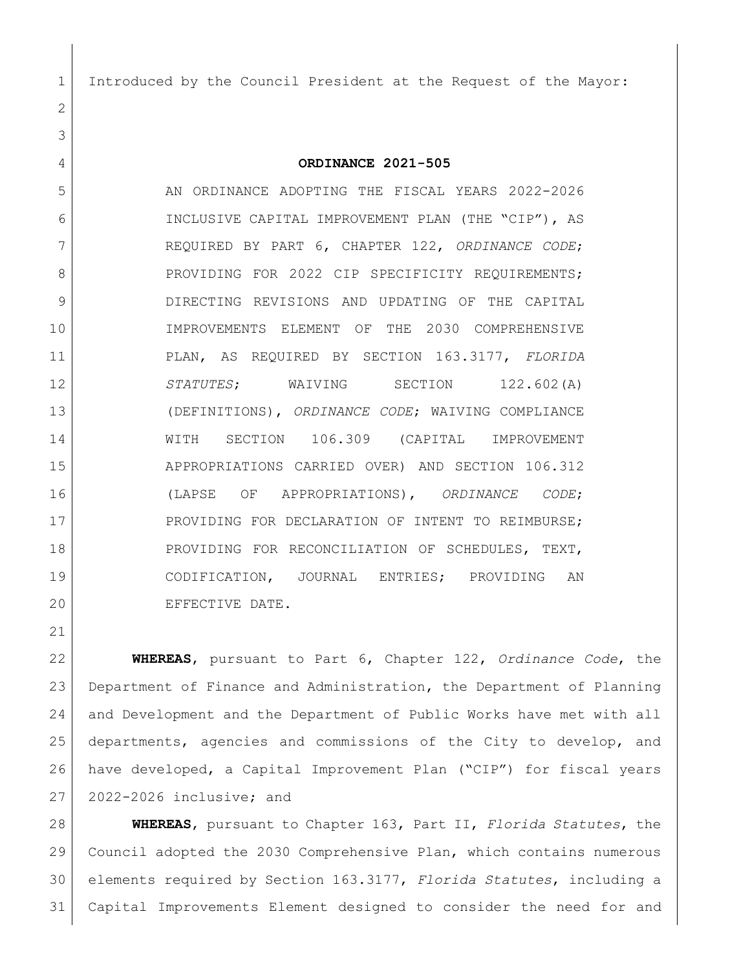Introduced by the Council President at the Request of the Mayor:

**ORDINANCE 2021-505**

 AN ORDINANCE ADOPTING THE FISCAL YEARS 2022-2026 INCLUSIVE CAPITAL IMPROVEMENT PLAN (THE "CIP"), AS REQUIRED BY PART 6, CHAPTER 122, *ORDINANCE CODE*; 8 PROVIDING FOR 2022 CIP SPECIFICITY REQUIREMENTS; DIRECTING REVISIONS AND UPDATING OF THE CAPITAL IMPROVEMENTS ELEMENT OF THE 2030 COMPREHENSIVE PLAN, AS REQUIRED BY SECTION 163.3177, *FLORIDA STATUTES*; WAIVING SECTION 122.602(A) (DEFINITIONS), *ORDINANCE CODE*; WAIVING COMPLIANCE WITH SECTION 106.309 (CAPITAL IMPROVEMENT APPROPRIATIONS CARRIED OVER) AND SECTION 106.312 (LAPSE OF APPROPRIATIONS), *ORDINANCE CODE*; 17 PROVIDING FOR DECLARATION OF INTENT TO REIMBURSE; 18 PROVIDING FOR RECONCILIATION OF SCHEDULES, TEXT, CODIFICATION, JOURNAL ENTRIES; PROVIDING AN EFFECTIVE DATE.

 **WHEREAS**, pursuant to Part 6, Chapter 122, *Ordinance Code*, the Department of Finance and Administration, the Department of Planning and Development and the Department of Public Works have met with all departments, agencies and commissions of the City to develop, and have developed, a Capital Improvement Plan ("CIP") for fiscal years 2022-2026 inclusive; and

 **WHEREAS**, pursuant to Chapter 163, Part II, *Florida Statutes*, the Council adopted the 2030 Comprehensive Plan, which contains numerous elements required by Section 163.3177, *Florida Statutes*, including a Capital Improvements Element designed to consider the need for and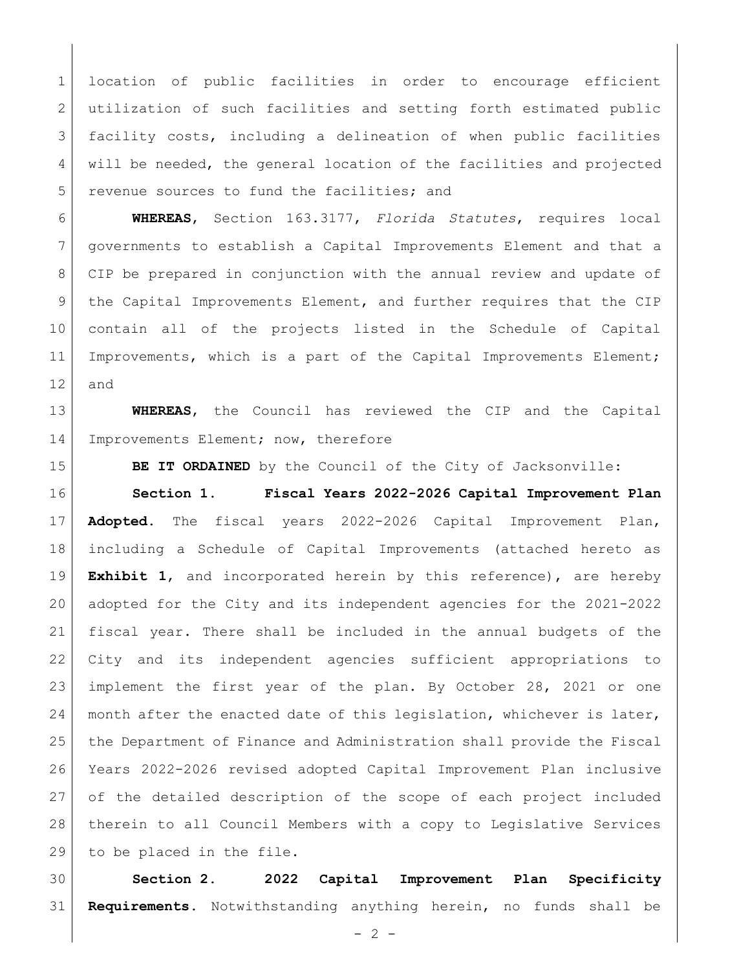location of public facilities in order to encourage efficient 2 utilization of such facilities and setting forth estimated public facility costs, including a delineation of when public facilities will be needed, the general location of the facilities and projected revenue sources to fund the facilities; and

 **WHEREAS**, Section 163.3177, *Florida Statutes*, requires local governments to establish a Capital Improvements Element and that a CIP be prepared in conjunction with the annual review and update of 9 | the Capital Improvements Element, and further requires that the CIP contain all of the projects listed in the Schedule of Capital 11 | Improvements, which is a part of the Capital Improvements Element; and

 **WHEREAS**, the Council has reviewed the CIP and the Capital 14 Improvements Element; now, therefore

**BE IT ORDAINED** by the Council of the City of Jacksonville:

 **Section 1**. **Fiscal Years 2022-2026 Capital Improvement Plan Adopted.** The fiscal years 2022-2026 Capital Improvement Plan, including a Schedule of Capital Improvements (attached hereto as **Exhibit 1**, and incorporated herein by this reference), are hereby adopted for the City and its independent agencies for the 2021-2022 fiscal year. There shall be included in the annual budgets of the City and its independent agencies sufficient appropriations to implement the first year of the plan. By October 28, 2021 or one 24 | month after the enacted date of this legislation, whichever is later, the Department of Finance and Administration shall provide the Fiscal Years 2022-2026 revised adopted Capital Improvement Plan inclusive of the detailed description of the scope of each project included therein to all Council Members with a copy to Legislative Services to be placed in the file.

 **Section 2. 2022 Capital Improvement Plan Specificity Requirements.** Notwithstanding anything herein, no funds shall be

 $-2 -$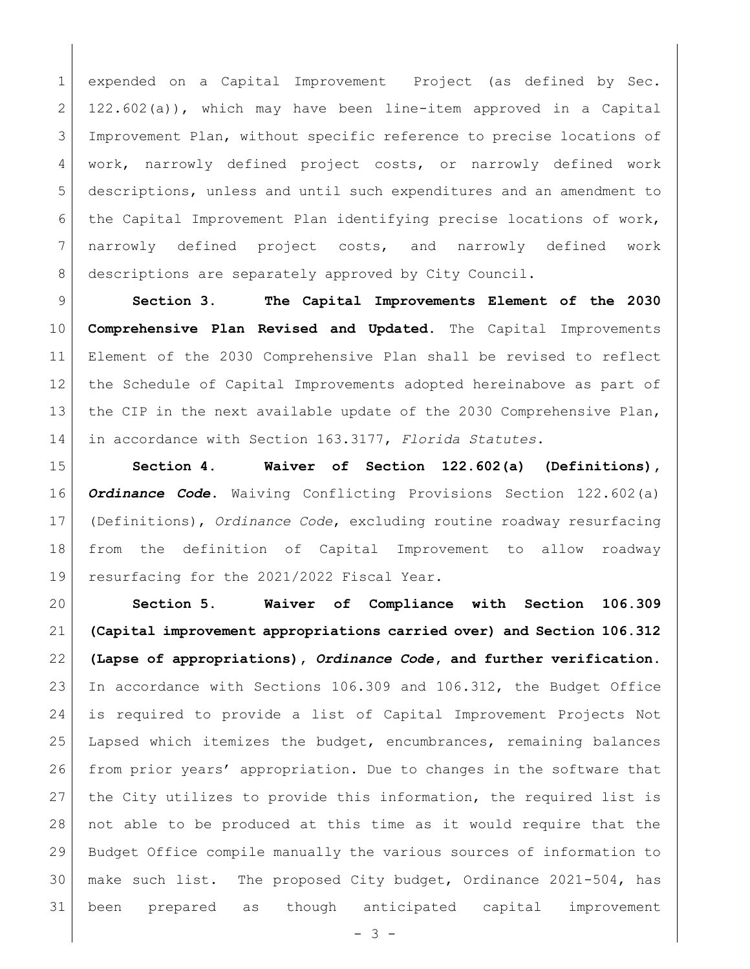expended on a Capital Improvement Project (as defined by Sec.  $2 \mid 122.602(a)$ , which may have been line-item approved in a Capital Improvement Plan, without specific reference to precise locations of work, narrowly defined project costs, or narrowly defined work descriptions, unless and until such expenditures and an amendment to the Capital Improvement Plan identifying precise locations of work, narrowly defined project costs, and narrowly defined work 8 descriptions are separately approved by City Council.

 **Section 3**. **The Capital Improvements Element of the 2030 Comprehensive Plan Revised and Updated.** The Capital Improvements Element of the 2030 Comprehensive Plan shall be revised to reflect the Schedule of Capital Improvements adopted hereinabove as part of 13 the CIP in the next available update of the 2030 Comprehensive Plan, in accordance with Section 163.3177, *Florida Statutes*.

 **Section 4. Waiver of Section 122.602(a) (Definitions),**  *Ordinance Code***.** Waiving Conflicting Provisions Section 122.602(a) (Definitions), *Ordinance Code*, excluding routine roadway resurfacing from the definition of Capital Improvement to allow roadway resurfacing for the 2021/2022 Fiscal Year.

 **Section 5. Waiver of Compliance with Section 106.309 (Capital improvement appropriations carried over) and Section 106.312 (Lapse of appropriations),** *Ordinance Code***, and further verification.** In accordance with Sections 106.309 and 106.312, the Budget Office is required to provide a list of Capital Improvement Projects Not Lapsed which itemizes the budget, encumbrances, remaining balances from prior years' appropriation. Due to changes in the software that the City utilizes to provide this information, the required list is not able to be produced at this time as it would require that the Budget Office compile manually the various sources of information to 30 | make such list. The proposed City budget, Ordinance 2021-504, has been prepared as though anticipated capital improvement

- 3 -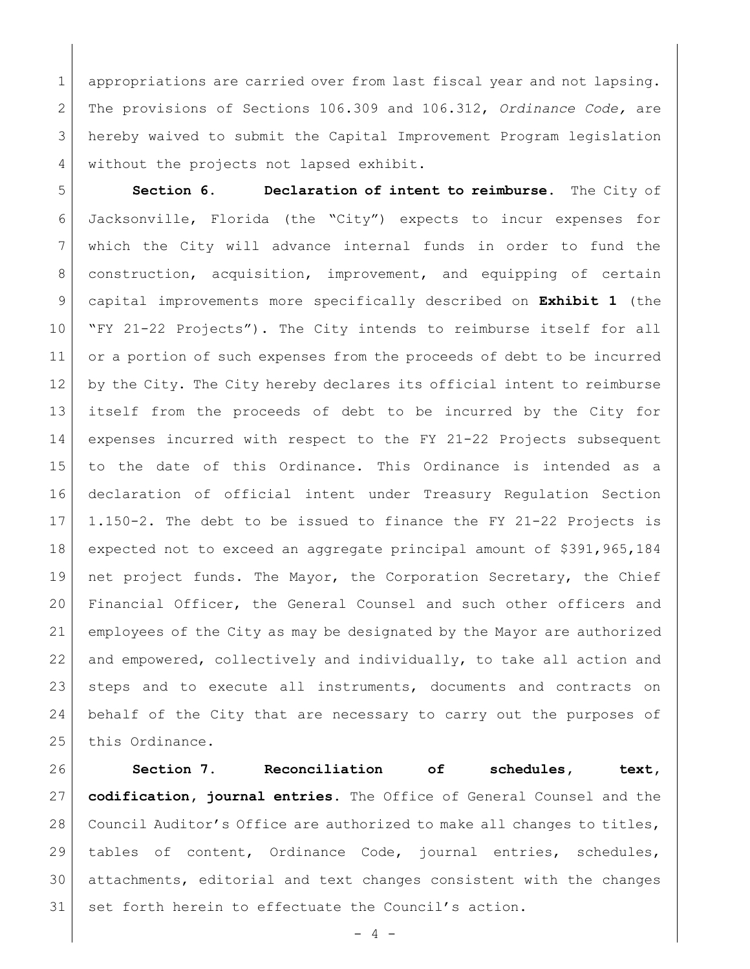appropriations are carried over from last fiscal year and not lapsing. The provisions of Sections 106.309 and 106.312, *Ordinance Code,* are hereby waived to submit the Capital Improvement Program legislation 4 without the projects not lapsed exhibit.

 **Section 6. Declaration of intent to reimburse.** The City of Jacksonville, Florida (the "City") expects to incur expenses for which the City will advance internal funds in order to fund the construction, acquisition, improvement, and equipping of certain capital improvements more specifically described on **Exhibit 1** (the "FY 21-22 Projects"). The City intends to reimburse itself for all 11 or a portion of such expenses from the proceeds of debt to be incurred by the City. The City hereby declares its official intent to reimburse itself from the proceeds of debt to be incurred by the City for expenses incurred with respect to the FY 21-22 Projects subsequent to the date of this Ordinance. This Ordinance is intended as a declaration of official intent under Treasury Regulation Section 1.150-2. The debt to be issued to finance the FY 21-22 Projects is expected not to exceed an aggregate principal amount of \$391,965,184 net project funds. The Mayor, the Corporation Secretary, the Chief Financial Officer, the General Counsel and such other officers and employees of the City as may be designated by the Mayor are authorized and empowered, collectively and individually, to take all action and steps and to execute all instruments, documents and contracts on behalf of the City that are necessary to carry out the purposes of 25 this Ordinance.

 **Section 7. Reconciliation of schedules, text, codification, journal entries.** The Office of General Counsel and the 28 Council Auditor's Office are authorized to make all changes to titles, tables of content, Ordinance Code, journal entries, schedules, attachments, editorial and text changes consistent with the changes set forth herein to effectuate the Council's action.